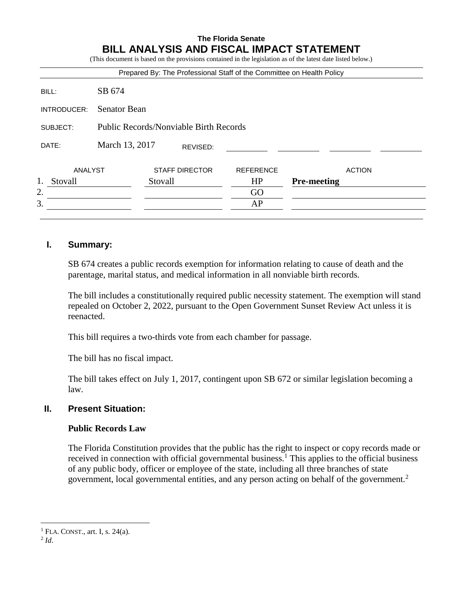#### **The Florida Senate BILL ANALYSIS AND FISCAL IMPACT STATEMENT** (This document is based on the provisions contained in the legislation as of the latest date listed below.)

|             |                                               |                       |          |                  | Prepared By: The Professional Staff of the Committee on Health Policy |
|-------------|-----------------------------------------------|-----------------------|----------|------------------|-----------------------------------------------------------------------|
| BILL:       | SB 674                                        |                       |          |                  |                                                                       |
| INTRODUCER: | <b>Senator Bean</b>                           |                       |          |                  |                                                                       |
| SUBJECT:    | <b>Public Records/Nonviable Birth Records</b> |                       |          |                  |                                                                       |
| DATE:       | March 13, 2017                                |                       | REVISED: |                  |                                                                       |
| ANALYST     |                                               | <b>STAFF DIRECTOR</b> |          | <b>REFERENCE</b> | <b>ACTION</b>                                                         |
| Stovall     |                                               | Stovall               |          | HP               | <b>Pre-meeting</b>                                                    |
| 2.          |                                               |                       |          | GO               |                                                                       |
| 3.          |                                               |                       |          | AP               |                                                                       |

## **I. Summary:**

SB 674 creates a public records exemption for information relating to cause of death and the parentage, marital status, and medical information in all nonviable birth records.

The bill includes a constitutionally required public necessity statement. The exemption will stand repealed on October 2, 2022, pursuant to the Open Government Sunset Review Act unless it is reenacted.

This bill requires a two-thirds vote from each chamber for passage.

The bill has no fiscal impact.

The bill takes effect on July 1, 2017, contingent upon SB 672 or similar legislation becoming a law.

# **II. Present Situation:**

# **Public Records Law**

The Florida Constitution provides that the public has the right to inspect or copy records made or received in connection with official governmental business.<sup>1</sup> This applies to the official business of any public body, officer or employee of the state, including all three branches of state government, local governmental entities, and any person acting on behalf of the government.<sup>2</sup>

2 *Id*.

 $\overline{a}$ 

<sup>&</sup>lt;sup>1</sup> FLA. CONST., art. I, s.  $24(a)$ .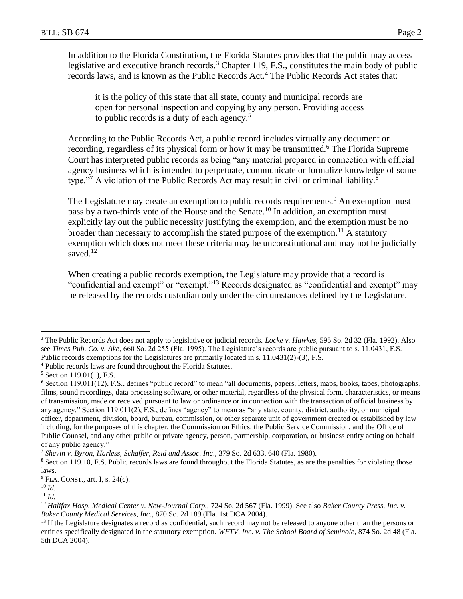In addition to the Florida Constitution, the Florida Statutes provides that the public may access legislative and executive branch records.<sup>3</sup> Chapter 119, F.S., constitutes the main body of public records laws, and is known as the Public Records Act.<sup>4</sup> The Public Records Act states that:

it is the policy of this state that all state, county and municipal records are open for personal inspection and copying by any person. Providing access to public records is a duty of each agency.<sup>5</sup>

According to the Public Records Act, a public record includes virtually any document or recording, regardless of its physical form or how it may be transmitted.<sup>6</sup> The Florida Supreme Court has interpreted public records as being "any material prepared in connection with official agency business which is intended to perpetuate, communicate or formalize knowledge of some type."<sup>7</sup> A violation of the Public Records Act may result in civil or criminal liability.<sup>8</sup>

The Legislature may create an exemption to public records requirements.<sup>9</sup> An exemption must pass by a two-thirds vote of the House and the Senate.<sup>10</sup> In addition, an exemption must explicitly lay out the public necessity justifying the exemption, and the exemption must be no broader than necessary to accomplish the stated purpose of the exemption.<sup>11</sup> A statutory exemption which does not meet these criteria may be unconstitutional and may not be judicially saved.<sup>12</sup>

When creating a public records exemption, the Legislature may provide that a record is "confidential and exempt" or "exempt."<sup>13</sup> Records designated as "confidential and exempt" may be released by the records custodian only under the circumstances defined by the Legislature.

 $\overline{a}$ 

<sup>3</sup> The Public Records Act does not apply to legislative or judicial records. *Locke v. Hawkes*, 595 So. 2d 32 (Fla. 1992). Also see *Times Pub. Co. v. Ake*, 660 So. 2d 255 (Fla. 1995). The Legislature's records are public pursuant to s. 11.0431, F.S. Public records exemptions for the Legislatures are primarily located in s. 11.0431(2)-(3), F.S.

<sup>4</sup> Public records laws are found throughout the Florida Statutes.

 $5$  Section 119.01(1), F.S.

 $6$  Section 119.011(12), F.S., defines "public record" to mean "all documents, papers, letters, maps, books, tapes, photographs, films, sound recordings, data processing software, or other material, regardless of the physical form, characteristics, or means of transmission, made or received pursuant to law or ordinance or in connection with the transaction of official business by any agency." Section 119.011(2), F.S., defines "agency" to mean as "any state, county, district, authority, or municipal officer, department, division, board, bureau, commission, or other separate unit of government created or established by law including, for the purposes of this chapter, the Commission on Ethics, the Public Service Commission, and the Office of Public Counsel, and any other public or private agency, person, partnership, corporation, or business entity acting on behalf of any public agency."

<sup>7</sup> *Shevin v. Byron, Harless, Schaffer, Reid and Assoc. Inc*., 379 So. 2d 633, 640 (Fla. 1980).

<sup>&</sup>lt;sup>8</sup> Section 119.10, F.S. Public records laws are found throughout the Florida Statutes, as are the penalties for violating those laws.

 $9$  FLA. CONST., art. I, s. 24(c).

<sup>10</sup> *Id.*

<sup>11</sup> *Id.*

<sup>12</sup> *Halifax Hosp. Medical Center v. New-Journal Corp.,* 724 So. 2d 567 (Fla. 1999). See also *Baker County Press, Inc. v. Baker County Medical Services, Inc.*, 870 So. 2d 189 (Fla. 1st DCA 2004).

<sup>&</sup>lt;sup>13</sup> If the Legislature designates a record as confidential, such record may not be released to anyone other than the persons or entities specifically designated in the statutory exemption. *WFTV, Inc. v. The School Board of Seminole*, 874 So. 2d 48 (Fla. 5th DCA 2004).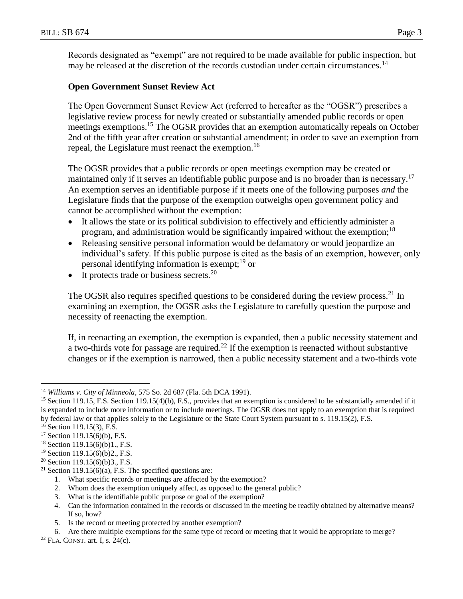Records designated as "exempt" are not required to be made available for public inspection, but may be released at the discretion of the records custodian under certain circumstances.<sup>14</sup>

## **Open Government Sunset Review Act**

The Open Government Sunset Review Act (referred to hereafter as the "OGSR") prescribes a legislative review process for newly created or substantially amended public records or open meetings exemptions.<sup>15</sup> The OGSR provides that an exemption automatically repeals on October 2nd of the fifth year after creation or substantial amendment; in order to save an exemption from repeal, the Legislature must reenact the exemption.<sup>16</sup>

The OGSR provides that a public records or open meetings exemption may be created or maintained only if it serves an identifiable public purpose and is no broader than is necessary.<sup>17</sup> An exemption serves an identifiable purpose if it meets one of the following purposes *and* the Legislature finds that the purpose of the exemption outweighs open government policy and cannot be accomplished without the exemption:

- It allows the state or its political subdivision to effectively and efficiently administer a program, and administration would be significantly impaired without the exemption;<sup>18</sup>
- Releasing sensitive personal information would be defamatory or would jeopardize an individual's safety. If this public purpose is cited as the basis of an exemption, however, only personal identifying information is exempt;<sup>19</sup> or
- It protects trade or business secrets.<sup>20</sup>

The OGSR also requires specified questions to be considered during the review process.<sup>21</sup> In examining an exemption, the OGSR asks the Legislature to carefully question the purpose and necessity of reenacting the exemption.

If, in reenacting an exemption, the exemption is expanded, then a public necessity statement and a two-thirds vote for passage are required.<sup>22</sup> If the exemption is reenacted without substantive changes or if the exemption is narrowed, then a public necessity statement and a two-thirds vote

 $\overline{a}$ 

- 1. What specific records or meetings are affected by the exemption?
- 2. Whom does the exemption uniquely affect, as opposed to the general public?
- 3. What is the identifiable public purpose or goal of the exemption?

5. Is the record or meeting protected by another exemption?

<sup>14</sup> *Williams v. City of Minneola*, 575 So. 2d 687 (Fla. 5th DCA 1991).

<sup>&</sup>lt;sup>15</sup> Section 119.15, F.S. Section 119.15(4)(b), F.S., provides that an exemption is considered to be substantially amended if it is expanded to include more information or to include meetings. The OGSR does not apply to an exemption that is required by federal law or that applies solely to the Legislature or the State Court System pursuant to s. 119.15(2), F.S.

 $16$  Section 119.15(3), F.S.

 $17$  Section 119.15(6)(b), F.S.

<sup>18</sup> Section 119.15(6)(b)1., F.S.

<sup>19</sup> Section 119.15(6)(b)2., F.S.

<sup>&</sup>lt;sup>20</sup> Section 119.15(6)(b)3., F.S.

<sup>&</sup>lt;sup>21</sup> Section 119.15(6)(a), F.S. The specified questions are:

<sup>4.</sup> Can the information contained in the records or discussed in the meeting be readily obtained by alternative means? If so, how?

<sup>6.</sup> Are there multiple exemptions for the same type of record or meeting that it would be appropriate to merge?

 $22$  FLA. CONST. art. I, s. 24(c).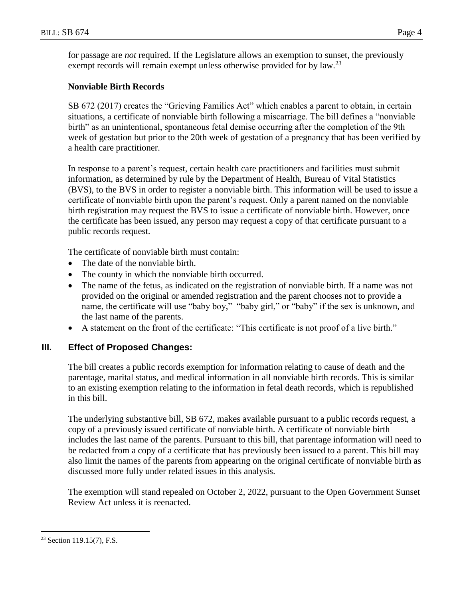for passage are *not* required. If the Legislature allows an exemption to sunset, the previously exempt records will remain exempt unless otherwise provided for by law.<sup>23</sup>

## **Nonviable Birth Records**

SB 672 (2017) creates the "Grieving Families Act" which enables a parent to obtain, in certain situations, a certificate of nonviable birth following a miscarriage. The bill defines a "nonviable birth" as an unintentional, spontaneous fetal demise occurring after the completion of the 9th week of gestation but prior to the 20th week of gestation of a pregnancy that has been verified by a health care practitioner.

In response to a parent's request, certain health care practitioners and facilities must submit information, as determined by rule by the Department of Health, Bureau of Vital Statistics (BVS), to the BVS in order to register a nonviable birth. This information will be used to issue a certificate of nonviable birth upon the parent's request. Only a parent named on the nonviable birth registration may request the BVS to issue a certificate of nonviable birth. However, once the certificate has been issued, any person may request a copy of that certificate pursuant to a public records request.

The certificate of nonviable birth must contain:

- The date of the nonviable birth.
- The county in which the nonviable birth occurred.
- The name of the fetus, as indicated on the registration of nonviable birth. If a name was not provided on the original or amended registration and the parent chooses not to provide a name, the certificate will use "baby boy," "baby girl," or "baby" if the sex is unknown, and the last name of the parents.
- A statement on the front of the certificate: "This certificate is not proof of a live birth."

# **III. Effect of Proposed Changes:**

The bill creates a public records exemption for information relating to cause of death and the parentage, marital status, and medical information in all nonviable birth records. This is similar to an existing exemption relating to the information in fetal death records, which is republished in this bill.

The underlying substantive bill, SB 672, makes available pursuant to a public records request, a copy of a previously issued certificate of nonviable birth. A certificate of nonviable birth includes the last name of the parents. Pursuant to this bill, that parentage information will need to be redacted from a copy of a certificate that has previously been issued to a parent. This bill may also limit the names of the parents from appearing on the original certificate of nonviable birth as discussed more fully under related issues in this analysis.

The exemption will stand repealed on October 2, 2022, pursuant to the Open Government Sunset Review Act unless it is reenacted.

 $\overline{a}$ 

 $23$  Section 119.15(7), F.S.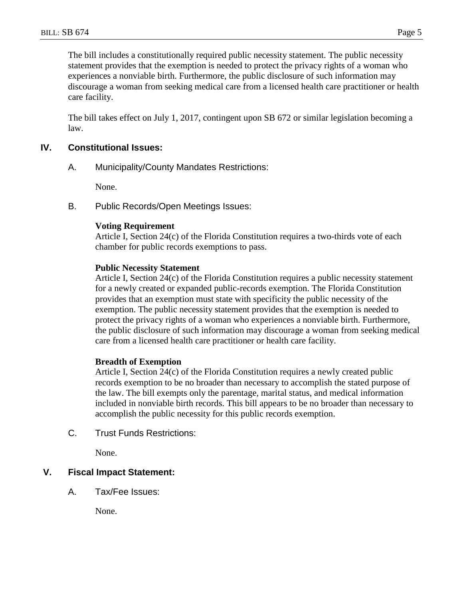The bill includes a constitutionally required public necessity statement. The public necessity statement provides that the exemption is needed to protect the privacy rights of a woman who experiences a nonviable birth. Furthermore, the public disclosure of such information may discourage a woman from seeking medical care from a licensed health care practitioner or health care facility.

The bill takes effect on July 1, 2017, contingent upon SB 672 or similar legislation becoming a law.

## **IV. Constitutional Issues:**

A. Municipality/County Mandates Restrictions:

None.

B. Public Records/Open Meetings Issues:

#### **Voting Requirement**

Article I, Section 24(c) of the Florida Constitution requires a two-thirds vote of each chamber for public records exemptions to pass.

#### **Public Necessity Statement**

Article I, Section 24(c) of the Florida Constitution requires a public necessity statement for a newly created or expanded public-records exemption. The Florida Constitution provides that an exemption must state with specificity the public necessity of the exemption. The public necessity statement provides that the exemption is needed to protect the privacy rights of a woman who experiences a nonviable birth. Furthermore, the public disclosure of such information may discourage a woman from seeking medical care from a licensed health care practitioner or health care facility.

## **Breadth of Exemption**

Article I, Section 24(c) of the Florida Constitution requires a newly created public records exemption to be no broader than necessary to accomplish the stated purpose of the law. The bill exempts only the parentage, marital status, and medical information included in nonviable birth records. This bill appears to be no broader than necessary to accomplish the public necessity for this public records exemption.

C. Trust Funds Restrictions:

None.

## **V. Fiscal Impact Statement:**

A. Tax/Fee Issues:

None.